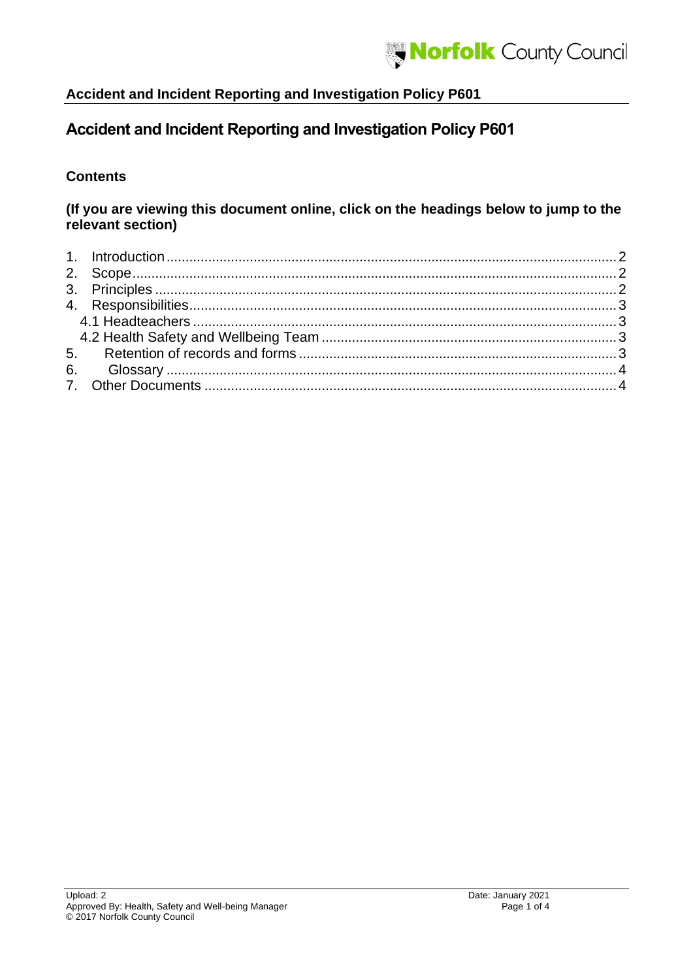

# **Accident and Incident Reporting and Investigation Policy P601**

#### **Contents**

#### **(If you are viewing this document online, click on the headings below to jump to the relevant section)**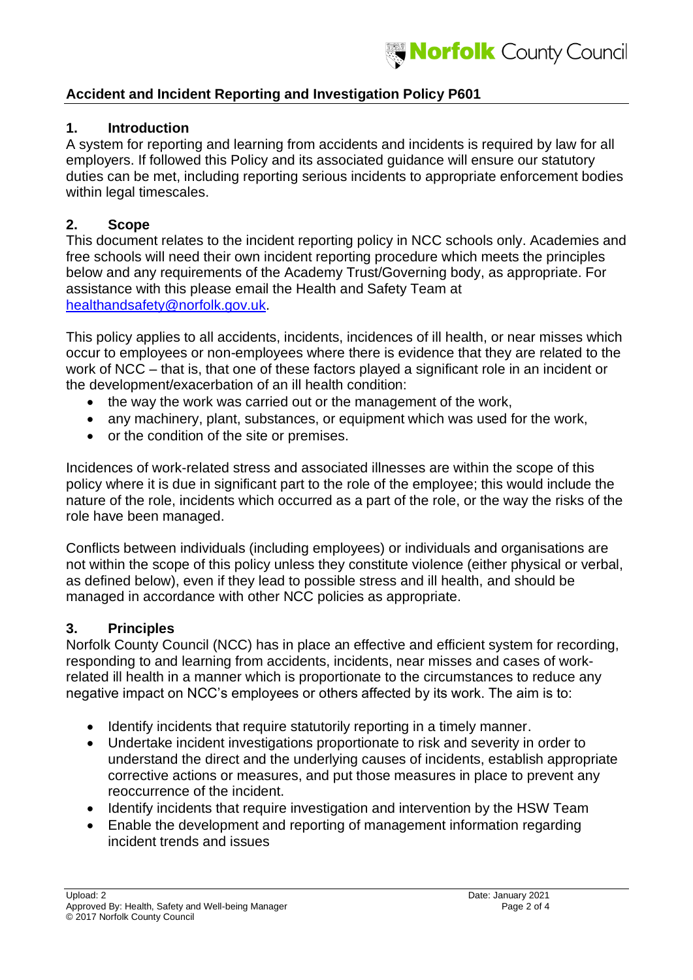## <span id="page-1-0"></span>**1. Introduction**

A system for reporting and learning from accidents and incidents is required by law for all employers. If followed this Policy and its associated guidance will ensure our statutory duties can be met, including reporting serious incidents to appropriate enforcement bodies within legal timescales.

# <span id="page-1-1"></span>**2. Scope**

This document relates to the incident reporting policy in NCC schools only. Academies and free schools will need their own incident reporting procedure which meets the principles below and any requirements of the Academy Trust/Governing body, as appropriate. For assistance with this please email the Health and Safety Team at [healthandsafety@norfolk.gov.uk.](mailto:healthandsafety@norfolk.gov.uk)

This policy applies to all accidents, incidents, incidences of ill health, or near misses which occur to employees or non-employees where there is evidence that they are related to the work of NCC – that is, that one of these factors played a significant role in an incident or the development/exacerbation of an ill health condition:

- the way the work was carried out or the management of the work,
- any machinery, plant, substances, or equipment which was used for the work,
- or the condition of the site or premises.

Incidences of work-related stress and associated illnesses are within the scope of this policy where it is due in significant part to the role of the employee; this would include the nature of the role, incidents which occurred as a part of the role, or the way the risks of the role have been managed.

Conflicts between individuals (including employees) or individuals and organisations are not within the scope of this policy unless they constitute violence (either physical or verbal, as defined below), even if they lead to possible stress and ill health, and should be managed in accordance with other NCC policies as appropriate.

# <span id="page-1-2"></span>**3. Principles**

Norfolk County Council (NCC) has in place an effective and efficient system for recording, responding to and learning from accidents, incidents, near misses and cases of workrelated ill health in a manner which is proportionate to the circumstances to reduce any negative impact on NCC's employees or others affected by its work. The aim is to:

- Identify incidents that require statutorily reporting in a timely manner.
- Undertake incident investigations proportionate to risk and severity in order to understand the direct and the underlying causes of incidents, establish appropriate corrective actions or measures, and put those measures in place to prevent any reoccurrence of the incident.
- Identify incidents that require investigation and intervention by the HSW Team
- Enable the development and reporting of management information regarding incident trends and issues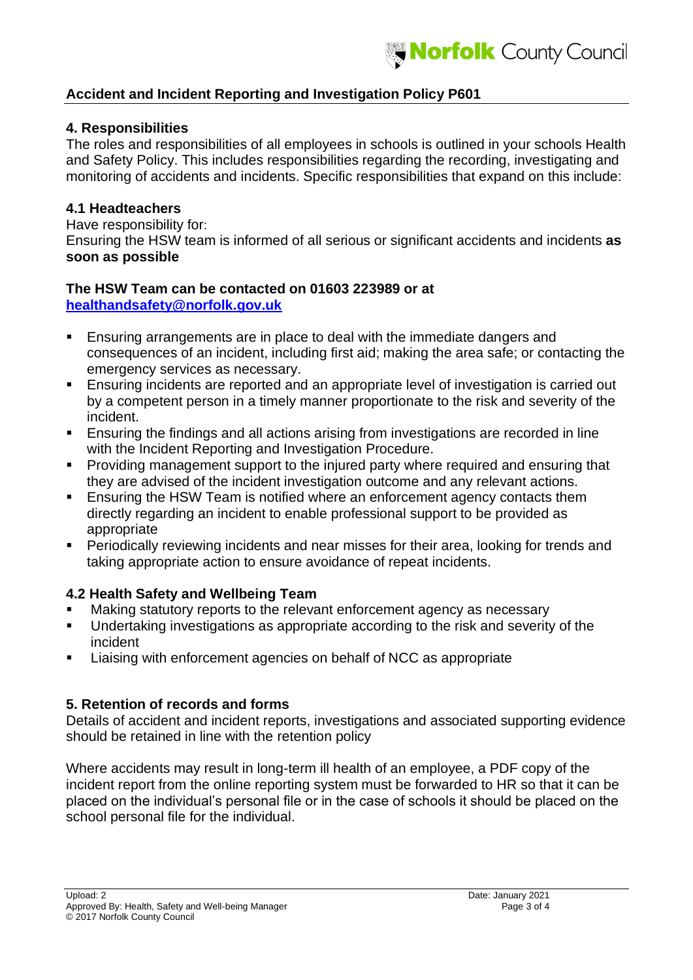#### <span id="page-2-0"></span>**4. Responsibilities**

The roles and responsibilities of all employees in schools is outlined in your schools Health and Safety Policy. This includes responsibilities regarding the recording, investigating and monitoring of accidents and incidents. Specific responsibilities that expand on this include:

#### <span id="page-2-1"></span>**4.1 Headteachers**

Have responsibility for: Ensuring the HSW team is informed of all serious or significant accidents and incidents **as soon as possible**

#### **The HSW Team can be contacted on 01603 223989 or at [healthandsafety@norfolk.gov.uk](mailto:healthandsafety@norfolk.gov.uk)**

- Ensuring arrangements are in place to deal with the immediate dangers and consequences of an incident, including first aid; making the area safe; or contacting the emergency services as necessary.
- **Ensuring incidents are reported and an appropriate level of investigation is carried out** by a competent person in a timely manner proportionate to the risk and severity of the incident.
- Ensuring the findings and all actions arising from investigations are recorded in line with the Incident Reporting and Investigation Procedure.
- **Providing management support to the injured party where required and ensuring that** they are advised of the incident investigation outcome and any relevant actions.
- Ensuring the HSW Team is notified where an enforcement agency contacts them directly regarding an incident to enable professional support to be provided as appropriate
- Periodically reviewing incidents and near misses for their area, looking for trends and taking appropriate action to ensure avoidance of repeat incidents.

# <span id="page-2-2"></span>**4.2 Health Safety and Wellbeing Team**

- Making statutory reports to the relevant enforcement agency as necessary
- Undertaking investigations as appropriate according to the risk and severity of the incident
- Liaising with enforcement agencies on behalf of NCC as appropriate

# <span id="page-2-3"></span>**5. Retention of records and forms**

Details of accident and incident reports, investigations and associated supporting evidence should be retained in line with the retention policy

Where accidents may result in long-term ill health of an employee, a PDF copy of the incident report from the online reporting system must be forwarded to HR so that it can be placed on the individual's personal file or in the case of schools it should be placed on the school personal file for the individual.